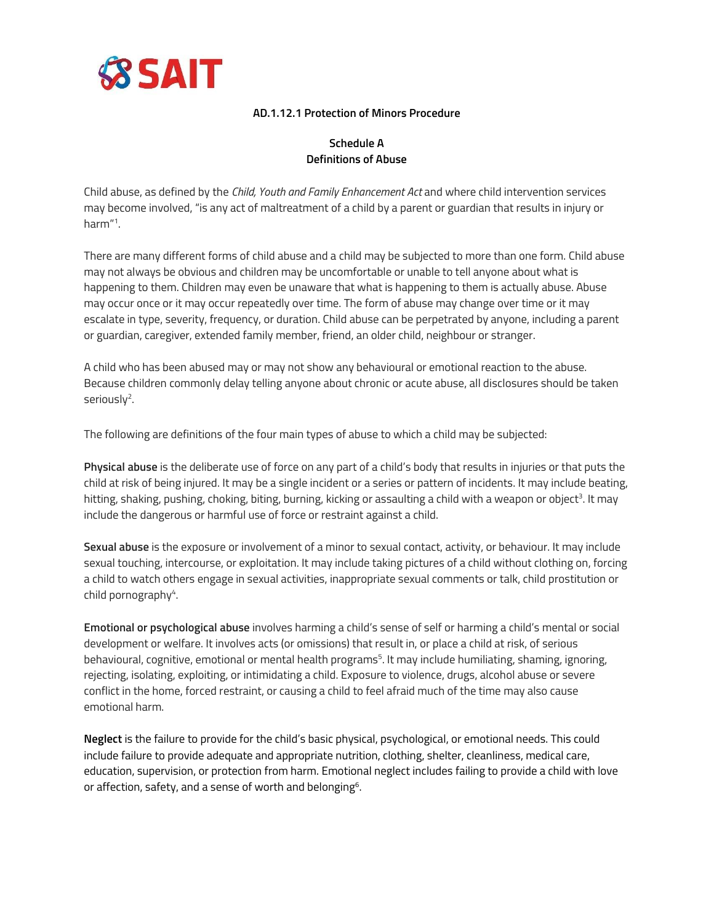

#### **AD.1.12.1 Protection of Minors Procedure**

# **Schedule A Definitions of Abuse**

Child abuse, as defined by the *Child, Youth and Family Enhancement Act* and where child intervention services may become involved, "is any act of maltreatment of a child by a parent or guardian that results in injury or harm" 1 .

There are many different forms of child abuse and a child may be subjected to more than one form. Child abuse may not always be obvious and children may be uncomfortable or unable to tell anyone about what is happening to them. Children may even be unaware that what is happening to them is actually abuse. Abuse may occur once or it may occur repeatedly over time. The form of abuse may change over time or it may escalate in type, severity, frequency, or duration. Child abuse can be perpetrated by anyone, including a parent or guardian, caregiver, extended family member, friend, an older child, neighbour or stranger.

A child who has been abused may or may not show any behavioural or emotional reaction to the abuse. Because children commonly delay telling anyone about chronic or acute abuse, all disclosures should be taken seriously<sup>2</sup>.

The following are definitions of the four main types of abuse to which a child may be subjected:

**Physical abuse** is the deliberate use of force on any part of a child's body that results in injuries or that puts the child at risk of being injured. It may be a single incident or a series or pattern of incidents. It may include beating, hitting, shaking, pushing, choking, biting, burning, kicking or assaulting a child with a weapon or object<sup>3</sup>. It may include the dangerous or harmful use of force or restraint against a child.

**Sexual abuse** is the exposure or involvement of a minor to sexual contact, activity, or behaviour. It may include sexual touching, intercourse, or exploitation. It may include taking pictures of a child without clothing on, forcing a child to watch others engage in sexual activities, inappropriate sexual comments or talk, child prostitution or child pornography<sup>4</sup>.

**Emotional or psychological abuse** involves harming a child's sense of self or harming a child's mental or social development or welfare. It involves acts (or omissions) that result in, or place a child at risk, of serious behavioural, cognitive, emotional or mental health programs<sup>5</sup>. It may include humiliating, shaming, ignoring, rejecting, isolating, exploiting, or intimidating a child. Exposure to violence, drugs, alcohol abuse or severe conflict in the home, forced restraint, or causing a child to feel afraid much of the time may also cause emotional harm.

**Neglect** is the failure to provide for the child's basic physical, psychological, or emotional needs. This could include failure to provide adequate and appropriate nutrition, clothing, shelter, cleanliness, medical care, education, supervision, or protection from harm. Emotional neglect includes failing to provide a child with love or affection, safety, and a sense of worth and belonging $^{\rm 6}$ .